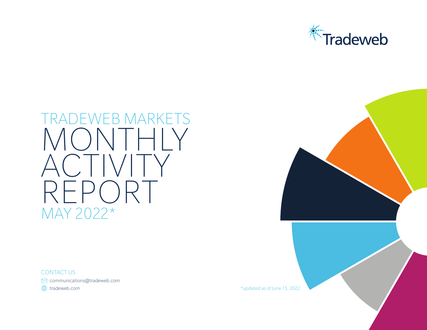

# TRADEWEB MARKETS MONTHLY ACTIVITY REPORT MAY 2022\*

CONTACT US

communications@tradeweb.com

 $\bigoplus$  tradeweb.com  $\bigoplus$  tradeweb.com  $\bigoplus$  tradeweb.com  $\bigoplus$  is a set of  $\bigoplus$  is a set of  $\bigoplus$  is a set of  $\bigoplus$  is a set of  $\bigoplus$  is a set of  $\bigoplus$  is a set of  $\bigoplus$  is a set of  $\bigoplus$  is a set of  $\bigoplus$  is

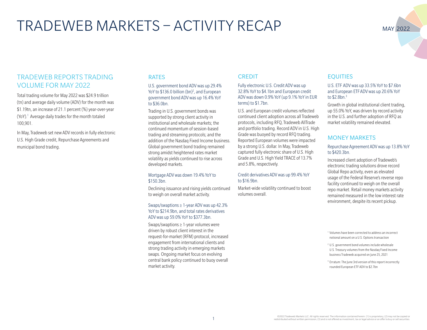## TRADEWEB MARKETS – ACTIVITY RECAP

### MAY 2022

#### TRADEWEB REPORTS TRADING VOLUME FOR MAY 2022

Total trading volume for May 2022 was \$24.9 trillion (tn) and average daily volume (ADV) for the month was \$1.19tn, an increase of 21.1 percent (%) year-over-year (YoY).<sup>1</sup> Average daily trades for the month totaled 100,901.

In May, Tradeweb set new ADV records in fully electronic U.S. High Grade credit, Repurchase Agreements and municipal bond trading.

#### RATES

#### U.S. government bond ADV was up 29.4% YoY to \$136.0 billion (bn)<sup>2</sup>, and European government bond ADV was up 16.4% YoY to \$36.0bn.

Trading in U.S. government bonds was supported by strong client activity in institutional and wholesale markets; the continued momentum of session-based trading and streaming protocols; and the addition of the Nasdaq Fixed Income business. Global government bond trading remained strong amidst heightened rates market volatility as yields continued to rise across developed markets.

#### Mortgage ADV was down 19.4% YoY to \$150.3bn.

Declining issuance and rising yields continued to weigh on overall market activity.

#### Swaps/swaptions ≥ 1-year ADV was up 42.3% YoY to \$214.9bn, and total rates derivatives ADV was up 59.0% YoY to \$377.3bn.

Swaps/swaptions ≥ 1-year volumes were driven by robust client interest in the request-for-market (RFM) protocol, increased engagement from international clients and strong trading activity in emerging markets swaps. Ongoing market focus on evolving central bank policy continued to buoy overall market activity.

#### **CREDIT**

#### Fully electronic U.S. Credit ADV was up 32.8% YoY to \$4.1bn and European credit ADV was down 0.9% YoY (up 9.1% YoY in EUR terms) to \$1.7bn.

U.S. and European credit volumes reflected continued client adoption across all Tradeweb protocols, including RFQ, Tradeweb AllTrade and portfolio trading. Record ADV in U.S. High Grade was buoyed by record RFQ trading. Reported European volumes were impacted by a strong U.S. dollar. In May, Tradeweb captured fully electronic share of U.S. High Grade and U.S. High Yield TRACE of 13.7% and 5.8%, respectively.

#### Credit derivatives ADV was up 99.4% YoY to \$16.9bn.

Market-wide volatility continued to boost volumes overall.

#### **EQUITIES**

#### U.S. ETF ADV was up 33.5% YoY to \$7.6bn and European ETF ADV was up 20.6% YoY to \$2.8bn.3

Growth in global institutional client trading, up 55.0% YoY, was driven by record activity in the U.S. and further adoption of RFQ as market volatility remained elevated.

#### MONEY MARKETS

#### Repurchase Agreement ADV was up 13.8% YoY to \$420.3bn.

Increased client adoption of Tradeweb's electronic trading solutions drove record Global Repo activity, even as elevated usage of the Federal Reserve's reverse repo facility continued to weigh on the overall repo market. Retail money markets activity remained measured in the low interest rate environment, despite its recent pickup.

<sup>1</sup> Volumes have been corrected to address an incorrect notional amount on a U.S. Options transaction

- <sup>2</sup> U.S. government bond volumes include wholesale U.S. Treasury volumes from the Nasdaq Fixed Income business Tradeweb acquired on June 25, 2021
- <sup>3</sup> Erratum: The June 3rd version of this report incorrectly rounded European ETF ADV to \$2.7bn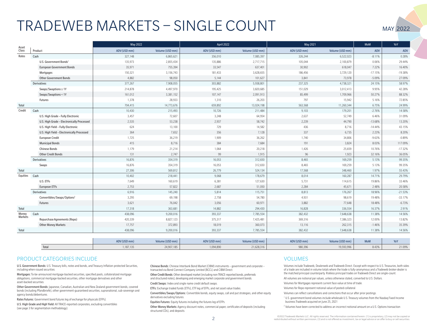# TRADEWEB MARKETS – SINGLE COUNT

| MAY 2022 |  |
|----------|--|

| Asset            |                                            | May 2022     |                 | April 2022   |                 | May 2021     |                 | <b>MoM</b> | YoY       |
|------------------|--------------------------------------------|--------------|-----------------|--------------|-----------------|--------------|-----------------|------------|-----------|
| Class            | Product                                    | ADV (USD mm) | Volume (USD mm) | ADV (USD mm) | Volume (USD mm) | ADV (USD mm) | Volume (USD mm) | ADV        | ADV       |
| Rates            | Cash                                       | 327,148      | 6,865,621       | 356,010      | 7,085,397       | 326,244      | 6,522,023       | $-8.11%$   | 0.28%     |
|                  | U.S. Government Bonds1                     | 135,973      | 2,855,434       | 135,886      | 2,717,715       | 105,044      | 2,100,879       | 0.06%      | 29.44%    |
|                  | <b>European Government Bonds</b>           | 35,971       | 755,394         | 33,547       | 637,401         | 30,902       | 618,047         | 7.22%      | 16.40%    |
|                  | Mortgages                                  | 150,321      | 3,156,743       | 181,433      | 3,628,655       | 186,456      | 3,729,120       | $-17.15%$  | $-19.38%$ |
|                  | <b>Other Government Bonds</b>              | 4,882        | 98,050          | 5,144        | 101,627         | 3,841        | 73,978          | $-5.09%$   | 27.09%    |
|                  | Derivatives                                | 377,267      | 7,908,055       | 303,882      | 5,938,801       | 237,325      | 4,738,321       | 24.15%     | 58.97%    |
|                  | Swaps/Swaptions ≥ 1Y                       | 214,878      | 4,497,970       | 195,425      | 3,820,685       | 151,029      | 3,012,413       | 9.95%      | 42.28%    |
|                  | Swaps/Swaptions < 1Y                       | 161,012      | 3,381,152       | 107,147      | 2,091,913       | 85,499       | 1,709,966       | 50.27%     | 88.32%    |
|                  | Futures                                    | 1,378        | 28,933          | 1,310        | 26,203          | 797          | 15,942          | 5.16%      | 72.85%    |
| Total            |                                            | 704,415      | 14,773,676      | 659,892      | 13,024,198      | 563,568      | 11,260,344      | 6.75%      | 24.99%    |
| Credit           | Cash                                       | 10,430       | 215,493         | 10,726       | 211,484         | 9,103        | 179,201         | $-2.76%$   | 14.58%    |
|                  | U.S. High Grade - Fully Electronic         | 3,457        | 72,607          | 3,248        | 64,954          | 2,637        | 52,749          | 6.46%      | 31.09%    |
|                  | U.S. High Grade - Electronically Processed | 2,535        | 53,238          | 2,937        | 58,742          | 2,239        | 44,790          | $-13.68%$  | 13.20%    |
|                  | U.S. High Yield - Fully Electronic         | 624          | 13,100          | 729          | 14,582          | 436          | 8,716           | $-14.44%$  | 43.15%    |
|                  | U.S. High Yield - Electronically Processed | 364          | 7,652           | 356          | 7,128           | 337          | 6,735           | 2.23%      | 8.20%     |
|                  | <b>European Credit</b>                     | 1,725        | 36,219          | 1,909        | 36,262          | 1,740        | 34,806          | $-9.63%$   | $-0.89%$  |
|                  | <b>Municipal Bonds</b>                     | 415          | 8,716           | 384          | 7,684           | 191          | 3,824           | 8.03%      | 117.09%   |
|                  | <b>Chinese Bonds</b>                       | 1,179        | 21,214          | 1,064        | 20,218          | 1,426        | 25,659          | 10.76%     | $-17.32%$ |
|                  | <b>Other Credit Bonds</b>                  | 131          | 2,747           | 99           | 1,915           | 96           | 1,923           | 32.16%     | 36.05%    |
|                  | Derivatives                                | 16,876       | 354,319         | 16,053       | 312,650         | 8,465        | 169,259         | 5.13%      | 99.35%    |
|                  | Swaps                                      | 16,876       | 354,319         | 16,053       | 312,650         | 8,465        | 169,259         | 5.13%      | 99.35%    |
| Total            |                                            | 27,306       | 569,812         | 26,779       | 524,134         | 17,568       | 348,460         | 1.97%      | 55.43%    |
| Equities         | Cash                                       | 10,402       | 218,441         | 9,068        | 178,679         | 8,014        | 160,287         | 14.71%     | 29.79%    |
|                  | U.S. ETFs                                  | 7,649        | 160,619         | 6,381        | 127,630         | 5,731        | 114,615         | 19.86%     | 33.46%    |
|                  | European ETFs                              | 2,753        | 57,822          | 2,687        | 51,050          | 2,284        | 45,671          | 2.48%      | 20.58%    |
|                  | Derivatives                                | 6,916        | 145,240         | 5,814        | 115,751         | 8,813        | 176,267         | 18.96%     | $-21.53%$ |
|                  | Convertibles/Swaps/Options <sup>2</sup>    | 3,295        | 69,198          | 2,758        | 54,780          | 4,931        | 98,619          | 19.48%     | $-33.17%$ |
|                  | Futures                                    | 3,621        | 76,042          | 3,056        | 60,971          | 3,882        | 77,648          | 18.48%     | $-6.73%$  |
| Total            |                                            | 17,318       | 363,681         | 14,882       | 294,430         | 16,828       | 336,554         | 16.37%     | 2.91%     |
| Money<br>Markets | Cash                                       | 438,096      | 9,200,016       | 393,337      | 7,785,554       | 382,432      | 7,648,638       | 11.38%     | 14.56%    |
|                  | Repurchase Agreements (Repo)               | 420,339      | 8,827,123       | 375,317      | 7,425,481       | 369,316      | 7,386,323       | 12.00%     | 13.82%    |
|                  | <b>Other Money Markets</b>                 | 17,757       | 372,893         | 18,019       | 360,073         | 13,116       | 262,315         | $-1.46%$   | 35.39%    |
| Total            |                                            | 438,096      | 9,200,016       | 393,337      | 7,785,554       | 382,432      | 7,648,638       | 11.38%     | 14.56%    |

|      | ADV (USD mm) | Volume (USD mm) | ADV (USD mm) | Volume (USD mm) | ADV (USD mm) | Volume (USD mm) | MoM   | $V = V$ |
|------|--------------|-----------------|--------------|-----------------|--------------|-----------------|-------|---------|
| Tota | ,187,135     | 24,907,185      | ,094,890     | 21,628,316      | 980,396      | 19,593,996      | 8.43% | 21.09%  |

#### PRODUCT CATEGORIES INCLUDE

U.S. Government Bonds: U.S. Treasury bills, notes and bonds, and Treasury Inflation-protected Securities, including when-issued securities.

Mortgages: To-be-announced mortgage-backed securities, specified pools, collateralized mortgage obligations, commercial mortgage-backed securities, other mortgage derivatives and other asset-backed securities.

Other Government Bonds: Japanese, Canadian, Australian and New Zealand government bonds, covered bonds (including Pfandbriefe), other government-guaranteed securities, supranational, sub-sovereign and agency bonds/debentures.

Rates Futures: Government bond futures leg of exchange for physicals (EFPs).

U.S. High Grade and High Yield: All TRACE-reported corporates, excluding convertibles (see page 3 for segmentation methodology).

Chinese Bonds: Chinese Interbank Bond Market (CIBM) instruments – government and corporate – transacted via Bond Connect Company Limited (BCCL) and CIBM Direct.

Other Credit Bonds: Other developed market (including non-TRACE-reported bonds, preferreds and structured notes), developing and emerging market corporate and government bonds.

Credit Swaps: Index and single name credit default swaps.

ETFs: Exchange traded funds (ETFs), ETF leg of EFPs, and net asset value trades.

Convertibles/Swaps/Options: Convertible bonds, equity swaps, call and put strategies, and other equity derivatives excluding futures.

Equities Futures: Equity futures including the futures leg of EFPs.

Other Money Markets: Agency discount notes, commercial paper, certificates of deposits (including structured CDs), and deposits.

#### **VOLUMES**

Volumes include Tradeweb, Dealerweb and Tradeweb Direct. Except with respect to U.S. Treasuries, both sides of a trade are included in volume totals where the trade is fully-anonymous and a Tradeweb broker-dealer is the matched principal counterparty. Riskless principal trades on Tradeweb Direct are single-count.

All volumes are notional par values, unless otherwise stated, converted to U.S. Dollars.

Volumes for Mortgages represent current face value at time of trade.

Volumes for Repo represent notional value of posted collateral.

Volumes can reflect cancellations and corrections that occur after prior postings.

<sup>1</sup> U.S. government bond volumes include wholesale U.S. Treasury volumes from the Nasdaq Fixed Income business Tradeweb acquired on June 25, 2021

<sup>2</sup> Volumes have been corrected to address an incorrect notional amount on a U.S. Options transaction

©2022 Tradeweb Markets LLC. All rights reserved. The information contained herein: (1) is proprietary; (2) may not be copied or<br>- redistributed without written permission: (3) and is not offered as investment, tax or legal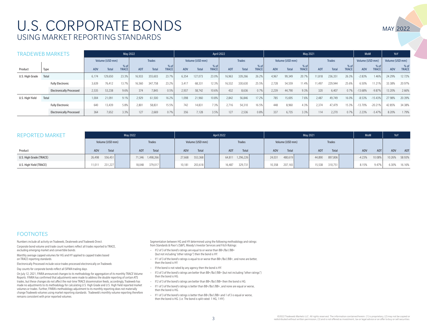## U.S. CORPORATE BONDS USING MARKET REPORTING STANDARDS

|                 | <b>TRADEWEB MARKETS</b>         |            |                 | May 2022             |            |               |                      |       |                 | April 2022           |            |               |                        |       |                 | May 2021             |            |               |                      | <b>MoM</b>      |                      | YoY             |                    |
|-----------------|---------------------------------|------------|-----------------|----------------------|------------|---------------|----------------------|-------|-----------------|----------------------|------------|---------------|------------------------|-------|-----------------|----------------------|------------|---------------|----------------------|-----------------|----------------------|-----------------|--------------------|
|                 |                                 |            | Volume (USD mm) |                      |            | <b>Trades</b> |                      |       | Volume (USD mm) |                      |            | <b>Trades</b> |                        |       | Volume (USD mm) |                      |            | <b>Trades</b> |                      | Volume (USD mm) |                      | Volume (USD mm) |                    |
| Product         | Type                            | <b>ADV</b> | <b>Total</b>    | % of<br><b>TRACE</b> | <b>ADT</b> | Total         | % of<br><b>TRACE</b> | ADV   | Total           | % of<br><b>TRACE</b> | <b>ADT</b> | <b>Total</b>  | $%$ of<br><b>TRACE</b> | ADV   | <b>Total</b>    | % of<br><b>TRACE</b> | <b>ADT</b> | <b>Total</b>  | % of<br><b>TRACE</b> | <b>ADV</b>      | % of<br><b>TRACE</b> | <b>ADV</b>      | %o<br><b>TRACE</b> |
| U.S. High Grade | Total                           | 6.174      | 129,650         | 23.3%                | 16,933     | 355,603       | 23.7%                | 6,354 | 127,073         | 23.0%                | 16,963     | 339,266       | 26.2%                  | 4,967 | 99,349          | 20.7%                | 11,818     | 236,351       | 26.3%                | $-2.83%$        | 1.46%                | 24.29%          | 12.72%             |
|                 | <b>Fully Electronic</b>         | 3,639      | 76,412          | 13.7%                | 6,560      | 347,758       | 23.2%                | 3,417 | 68,331          | 12.3%                | 16,532     | 330,630       | 25.5%                  | 2,728 | 54,559          | 11.4%                | 1,497      | 229,944       | 25.6%                | 6.50%           | 11.219               | 33.38%          | 20.97%             |
|                 | <b>Electronically Processed</b> | 2,535      | 53,238          | 9.6%                 | 374        | 7,845         | 0.5%                 | 2,937 | 58,742          | 10.6%                | 432        | 8,636         | 0.7%                   | 2.239 | 44.790          | 9.3%                 | 320        | 6,407         | 0.7%                 | $-13.68%$       | $-9.879$             | 13.20%          | 2.66%              |
| U.S. High Yield | Total                           | 1,004      | 21,091          | 9.1%                 | 2,929      | 61,500        | 16.2%                | ,098  | 21,960          | 10.8%                | 2,842      | 56,846        | 17.2%                  | 785   | 15,695          | 7.6%                 | 2,487      | 49,749        | 16.0%                | $-8.53%$        | $-15.43%$            | 27.98%          | 20.39%             |
|                 | <b>Fully Electronic</b>         | 640        | 13,439          | 5.8%                 | 2,801      | 58,831        | 15.5%                | 742   | 14,831          | 7.3%                 | 2,716      | 54,310        | 16.5%                  | 448   | 8,960           | 4.3%                 | 2,374      | 47,479        | 15.3%                | $-13.70%$       | $-20.21%$            | 42.85%          | 34.38%             |
|                 | <b>Electronically Processed</b> | 364        | 7,652           | 3.3%                 | 127        | 2,669         | 0.7%                 | 356   | 7,128           | 3.5%                 | 127        | 2,536         | 0.8%                   | 337   | 6,735           | 3.3%                 | 114        | 2,270         | 0.7%                 | 2.23%           | $-5.47%$             | 8.20%           | 1.79%              |

| <b>REPORTED MARKET</b>  |                     | <b>May 2022</b>     |                     | April 2022          | May 2021          | <b>MoM</b>        | YoY                |                   |
|-------------------------|---------------------|---------------------|---------------------|---------------------|-------------------|-------------------|--------------------|-------------------|
|                         | Volume (USD mm)     | Trades              | Volume (USD mm)     | Trades              | Volume (USD mm)   | <b>Trades</b>     |                    |                   |
| Product                 | <b>ADV</b><br>Total | <b>ADT</b><br>Total | <b>ADV</b><br>Total | Total<br><b>ADT</b> | ADV<br>Total      | ADT<br>Total      | ADV<br><b>ADT</b>  | ADT<br><b>ADV</b> |
| U.S. High Grade (TRACE) | 556,451<br>26,498   | 71,346 1,498,266    | 553,368<br>27,668   | 1,296,226<br>64,811 | 480,619<br>24,031 | 44,890<br>897,806 | $-4.23%$<br>10.08% | 58.93%<br>10.26%  |
| U.S. High Yield (TRACE) | 231,227<br>11.011   | 379,017<br>18,048   | 203,618<br>10.181   | 329,731<br>16,487   | 207,165<br>10,358 | 15,538<br>310,751 | 8.15%<br>9.47%     | 6.30%<br>16.16%   |

#### FOOTNOTES

Numbers include all activity on Tradeweb, Dealerweb and Tradeweb Direct.

Corporate bond volume and trade count numbers reflect all trades reported to TRACE, excluding emerging market and convertible bonds.

Monthly average capped volumes for HG and HY applied to capped trades based on TRACE reporting standards.

Electronically Processed include voice trades processed electronically on Tradeweb.

Day counts for corporate bonds reflect all SIFMA trading days.

On July 12, 2021, FINRA announced changes to its methodology for aggregation of its monthly TRACE Volume Reports. FINRA has confirmed that adjustments were made to address the double reporting of certain ATS trades, but these changes do not affect the real-time TRACE dissemination feeds; accordingly, Tradeweb has made no adjustments to its methodology for calculating U.S. High Grade and U.S. High Yield reported market volumes or trades. Further, FINRA's methodology adjustment to its monthly reporting does not materially change Tradeweb volumes using market reporting standards. Tradeweb's monthly volume reporting therefore remains consistent with prior reported volumes.

Segmentation between HG and HY determined using the following methodology and ratings from Standards & Poor's (S&P), Moody's Investor Services and Fitch Ratings:

- If 2 of 3 of the bond's ratings are equal to or worse than BB+/Ba1/BB+ (but not including "other ratings") then the bond is HY.
- If 1 of 3 of the bond's ratings is equal to or worse than BB+/Ba1/BB+, and none are better, then the bond is HY.
- If the bond is not rated by any agency then the bond is HY.
- If 3 of 3 of the bond's ratings are better than BB+/Ba1/BB+ (but not including "other ratings") then the bond is HG.
- If 2 of 3 of the bond's ratings are better than BB+/Ba1/BB+ then the bond is HG.
- If 1 of 3 of the bond's ratings is better than BB+/Ba1/BB+, and none are equal or worse, then the bond is HG.
- If 1 of 3 of the bond's ratings is better than BB+/Ba1/BB+ and 1 of 3 is equal or worse, then the bond is HG. (i.e. The bond is split rated: 1 HG, 1 HY).

MAY 2022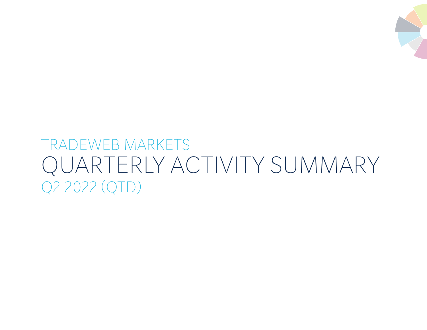

# TRADEWEB MARKETS QUARTERLY ACTIVITY SUMMARY Q2 2022 (QTD)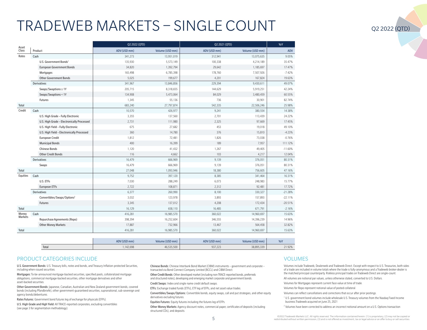# TRADEWEB MARKETS – SINGLE COUNT

| Asset            |                                            | Q2 2022 (QTD) |                 |              | Q2 2021 (QTD)   | YoY       |  |
|------------------|--------------------------------------------|---------------|-----------------|--------------|-----------------|-----------|--|
| Class            | Product                                    | ADV (USD mm)  | Volume (USD mm) | ADV (USD mm) | Volume (USD mm) | ADV       |  |
| Rates            | Cash                                       | 341,273       | 13,951,019      | 312,941      | 13,075,635      | 9.05%     |  |
|                  | U.S. Government Bonds <sup>1</sup>         | 135,930       | 5,573,149       | 100,338      | 4,214,189       | 35.47%    |  |
|                  | <b>European Government Bonds</b>           | 34,820        | 1,392,794       | 29,642       | 1,185,697       | 17.47%    |  |
|                  | Mortgages                                  | 165,498       | 6,785,398       | 178,760      | 7,507,926       | $-7.42%$  |  |
|                  | <b>Other Government Bonds</b>              | 5,025         | 199,677         | 4,201        | 167,824         | 19.63%    |  |
|                  | <b>Derivatives</b>                         | 341,967       | 13,846,856      | 229,394      | 9,430,611       | 49.07%    |  |
|                  | Swaps/Swaptions ≥ 1Y                       | 205,715       | 8,318,655       | 144,629      | 5,919,251       | 42.24%    |  |
|                  | Swaps/Swaptions < 1Y                       | 134,908       | 5,473,064       | 84,029       | 3,480,459       | 60.55%    |  |
|                  | Futures                                    | 1,345         | 55,136          | 736          | 30,901          | 82.74%    |  |
| Total            |                                            | 683,240       | 27,797,874      | 542,335      | 22,506,246      | 25.98%    |  |
| Credit           | Cash                                       | 10,570        | 426,977         | 9,241        | 380,554         | 14.38%    |  |
|                  | U.S. High Grade - Fully Electronic         | 3,355         | 137,560         | 2,701        | 113,439         | 24.22%    |  |
|                  | U.S. High Grade - Electronically Processed | 2,731         | 111,980         | 2,325        | 97,669          | 17.45%    |  |
|                  | U.S. High Yield - Fully Electronic         | 675           | 27,682          | 453          | 19,018          | 49.10%    |  |
|                  | U.S. High Yield - Electronically Processed | 360           | 14,780          | 376          | 15,810          | $-4.23%$  |  |
|                  | <b>European Credit</b>                     | 1,812         | 72,481          | 1,826        | 73,038          | $-0.76%$  |  |
|                  | <b>Municipal Bonds</b>                     | 400           | 16,399          | 189          | 7,957           | 111.12%   |  |
|                  | <b>Chinese Bonds</b>                       | 1,120         | 41,432          | 1,267        | 49,405          | $-11.60%$ |  |
|                  | <b>Other Credit Bonds</b>                  | 116           | 4,662           | 103          | 4,217           | 12.04%    |  |
|                  | Derivatives                                | 16,479        | 666,969         | 9,139        | 376,051         | 80.31%    |  |
|                  | Swaps                                      | 16,479        | 666,969         | 9,139        | 376,051         | 80.31%    |  |
| Total            |                                            | 27,048        | 1,093,946       | 18,380       | 756,605         | 47.16%    |  |
| Equities         | Cash                                       | 9,752         | 397,120         | 8,385        | 341,464         | 16.31%    |  |
|                  | U.S. ETFs                                  | 7,030         | 288,249         | 6,073        | 248,983         | 15.77%    |  |
|                  | <b>European ETFs</b>                       | 2,722         | 108,871         | 2,312        | 92,481          | 17.72%    |  |
|                  | Derivatives                                | 6,377         | 260,990         | 8,100        | 330,327         | $-21.28%$ |  |
|                  | Convertibles/Swaps/Options <sup>2</sup>    | 3,032         | 123,978         | 3,893        | 157,893         | $-22.11%$ |  |
|                  | Futures                                    | 3,345         | 137,012         | 4,208        | 172,434         | $-20.51%$ |  |
| Total            |                                            | 16,129        | 658,110         | 16,485       | 671,791         | $-2.16%$  |  |
| Money<br>Markets | Cash                                       | 416,281       | 16,985,570      | 360,022      | 14,960,697      | 15.63%    |  |
|                  | Repurchase Agreements (Repo)               | 398,394       | 16,252,604      | 346,555      | 14,396,239      | 14.96%    |  |
|                  | <b>Other Money Markets</b>                 | 17,887        | 732,966         | 13,467       | 564,458         | 32.82%    |  |
| Total            |                                            | 416,281       | 16,985,570      | 360,022      | 14,960,697      | 15.63%    |  |

|       | $\neg$ V(USD mm) | Volume (USD mm) | ADV (USD mm) | $\cdot$ (USD mm)<br>Volume, | YoY    |
|-------|------------------|-----------------|--------------|-----------------------------|--------|
| Total | 142,698          | 500             | 937,223      | 220<br>38.895.339           | 21.92% |

#### PRODUCT CATEGORIES INCLUDE

U.S. Government Bonds: U.S. Treasury bills, notes and bonds, and Treasury Inflation-protected Securities, including when-issued securities.

Mortgages: To-be-announced mortgage-backed securities, specified pools, collateralized mortgage obligations, commercial mortgage-backed securities, other mortgage derivatives and other asset-backed securities.

Other Government Bonds: Japanese, Canadian, Australian and New Zealand government bonds, covered bonds (including Pfandbriefe), other government-guaranteed securities, supranational, sub-sovereign and agency bonds/debentures.

Rates Futures: Government bond futures leg of exchange for physicals (EFPs).

U.S. High Grade and High Yield: All TRACE-reported corporates, excluding convertibles (see page 3 for segmentation methodology).

Chinese Bonds: Chinese Interbank Bond Market (CIBM) instruments – government and corporate – transacted via Bond Connect Company Limited (BCCL) and CIBM Direct.

Other Credit Bonds: Other developed market (including non-TRACE-reported bonds, preferreds and structured notes), developing and emerging market corporate and government bonds.

Credit Swaps: Index and single name credit default swaps.

ETFs: Exchange traded funds (ETFs), ETF leg of EFPs, and net asset value trades.

Convertibles/Swaps/Options: Convertible bonds, equity swaps, call and put strategies, and other equity derivatives excluding futures.

Equities Futures: Equity futures including the futures leg of EFPs.

Other Money Markets: Agency discount notes, commercial paper, certificates of deposits (including structured CDs), and deposits.

#### **VOLUMES**

Volumes include Tradeweb, Dealerweb and Tradeweb Direct. Except with respect to U.S. Treasuries, both sides of a trade are included in volume totals where the trade is fully-anonymous and a Tradeweb broker-dealer is the matched principal counterparty. Riskless principal trades on Tradeweb Direct are single-count.

All volumes are notional par values, unless otherwise stated, converted to U.S. Dollars.

Volumes for Mortgages represent current face value at time of trade.

Volumes for Repo represent notional value of posted collateral.

Volumes can reflect cancellations and corrections that occur after prior postings.

<sup>1</sup> U.S. government bond volumes include wholesale U.S. Treasury volumes from the Nasdaq Fixed Income business Tradeweb acquired on June 25, 2021

<sup>2</sup> Volumes have been corrected to address an incorrect notional amount on a U.S. Options transaction

©2022 Tradeweb Markets LLC. All rights reserved. The information contained herein: (1) is proprietary; (2) may not be copied or<br>- redistributed without written permission: (3) and is not offered as investment, tax or legal

#### Q2 2022 (QTD)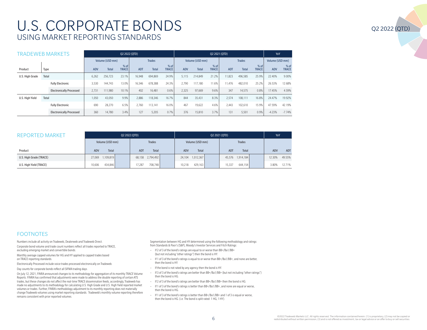## U.S. CORPORATE BONDS USING MARKET REPORTING STANDARDS

| FRADEWEB MARKETS | Q2 2022 (QTD)                   |                 |              |                      |            |               | Q2 2021 (QTD)          |            |                 |                        |            |               | YoY                  |            |                      |  |
|------------------|---------------------------------|-----------------|--------------|----------------------|------------|---------------|------------------------|------------|-----------------|------------------------|------------|---------------|----------------------|------------|----------------------|--|
|                  |                                 | Volume (USD mm) |              |                      |            | <b>Trades</b> |                        |            | Volume (USD mm) |                        |            | <b>Trades</b> |                      |            | Volume (USD mm)      |  |
| Product          | Type                            | <b>ADV</b>      | <b>Total</b> | % of<br><b>TRACE</b> | <b>ADT</b> | <b>Total</b>  | $%$ of<br><b>TRACE</b> | <b>ADV</b> | <b>Total</b>    | $%$ of<br><b>TRACE</b> | <b>ADT</b> | <b>Total</b>  | % of<br><b>TRACE</b> | <b>ADV</b> | % of<br><b>TRACE</b> |  |
| U.S. High Grade  | Total                           | 6,262           | 256.723      | 23.1%                | 16,948     | 694,869       | 24.9%                  | 5,115      | 214.849         | 21.2%                  | 11,823     | 496,585       | 25.9%                | 22.40%     | 9.00%                |  |
|                  | <b>Fully Electronic</b>         | 3.530           | 144.743      | 13.0%                | 16.546     | 678.388       | 24.3%                  | 2.790      | 117.180         | 11.6%                  | 11.476     | 482.010       | 25.2%                | 26.53%     | 12.68%               |  |
|                  | <b>Electronically Processed</b> | 2.731           | 111.980      | 10.1%                | 402        | 16.481        | 0.6%                   | 2.325      | 97,669          | 9.6%                   | 347        | 14.575        | 0.8%                 | 17.45%     | 4.59%                |  |
| U.S. High Yield  | Total                           | .050            | 43.050       | 9.9%                 | 2,886      | 118,346       | 16.7%                  | 844        | 35.431          | 8.3%                   | 2.574      | 108.111       | 16.8%                | 24.47%     | 19.92%               |  |
|                  | <b>Fully Electronic</b>         | 690             | 28.270       | 6.5%                 | 2.760      | 13.141        | 16.0%                  | 467        | 19.622          | 4.6%                   | 2.443      | 102.610       | 15.9%                | 47.59%     | 42.19%               |  |
|                  | <b>Electronically Processed</b> | 360             | 14,780       | 3.4%                 | 127        | 5,205         | 0.7%                   | 376        | 15,810          | 3.7%                   | 131        | 5,501         | 0.9%                 | $-4.23%$   | $-7.74%$             |  |

| <b>REPORTED MARKET</b>  |                     | Q2 2022 (QTD)              | Q2 2021 (QTD)     | YoY                        |                  |
|-------------------------|---------------------|----------------------------|-------------------|----------------------------|------------------|
|                         | Volume (USD mm)     | <b>Trades</b>              | Volume (USD mm)   | <b>Trades</b>              |                  |
| Product                 | Total<br>ADV        | <b>Total</b><br><b>ADT</b> | Total<br>ADV      | <b>ADT</b><br><b>Total</b> | ADT<br>ADV       |
| U.S. High Grade (TRACE) | 1,109,819<br>27.069 | 68,158 2,794,492           | 24,104 1,012,367  | 45,576 1,914,184           | 49.55%<br>12.30% |
| U.S. High Yield (TRACE) | 434.846<br>10.606   | 708.748<br>17.287          | 429.163<br>10.218 | 644.154<br>15.337          | 12.71%<br>3.80%  |

#### FOOTNOTES

Numbers include all activity on Tradeweb, Dealerweb and Tradeweb Direct.

Corporate bond volume and trade count numbers reflect all trades reported to TRACE, excluding emerging market and convertible bonds.

Monthly average capped volumes for HG and HY applied to capped trades based on TRACE reporting standards.

Electronically Processed include voice trades processed electronically on Tradeweb.

Day counts for corporate bonds reflect all SIFMA trading days.

On July 12, 2021, FINRA announced changes to its methodology for aggregation of its monthly TRACE Volume Reports. FINRA has confirmed that adjustments were made to address the double reporting of certain ATS trades, but these changes do not affect the real-time TRACE dissemination feeds; accordingly, Tradeweb has made no adjustments to its methodology for calculating U.S. High Grade and U.S. High Yield reported market volumes or trades. Further, FINRA's methodology adjustment to its monthly reporting does not materially change Tradeweb volumes using market reporting standards. Tradeweb's monthly volume reporting therefore remains consistent with prior reported volumes.

Segmentation between HG and HY determined using the following methodology and ratings from Standards & Poor's (S&P), Moody's Investor Services and Fitch Ratings:

- If 2 of 3 of the bond's ratings are equal to or worse than BB+/Ba1/BB+ (but not including "other ratings") then the bond is HY.
- If 1 of 3 of the bond's ratings is equal to or worse than BB+/Ba1/BB+, and none are better, then the bond is HY.
- If the bond is not rated by any agency then the bond is HY.
- If 3 of 3 of the bond's ratings are better than BB+/Ba1/BB+ (but not including "other ratings") then the bond is HG.
- If 2 of 3 of the bond's ratings are better than BB+/Ba1/BB+ then the bond is HG.
- If 1 of 3 of the bond's ratings is better than BB+/Ba1/BB+, and none are equal or worse, then the bond is HG.
- If 1 of 3 of the bond's ratings is better than BB+/Ba1/BB+ and 1 of 3 is equal or worse, then the bond is HG. (i.e. The bond is split rated: 1 HG, 1 HY).

Q2 2022 (QTD)